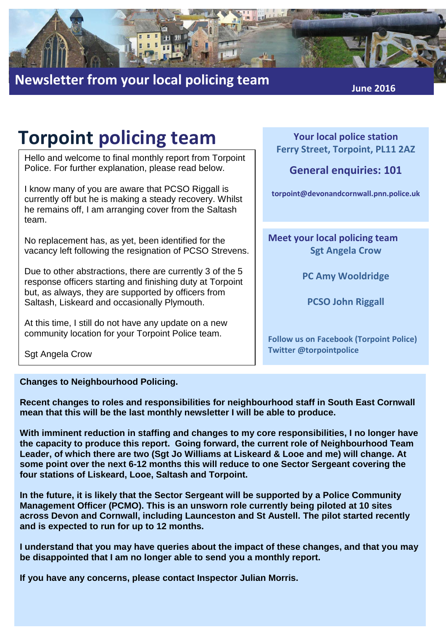

## **Newsletter from your local policing team**

**June 2016**

# **Torpoint policing team**

Hello and welcome to final monthly report from Torpoint Police. For further explanation, please read below.

I know many of you are aware that PCSO Riggall is currently off but he is making a steady recovery. Whilst he remains off, I am arranging cover from the Saltash team.

No replacement has, as yet, been identified for the vacancy left following the resignation of PCSO Strevens.

Due to other abstractions, there are currently 3 of the 5 response officers starting and finishing duty at Torpoint but, as always, they are supported by officers from Saltash, Liskeard and occasionally Plymouth.

At this time, I still do not have any update on a new community location for your Torpoint Police team.

Sgt Angela Crow

### **Your local police station Ferry Street, Torpoint, PL11 2AZ**

## **General enquiries: 101**

**torpoint@devonandcornwall.pnn.police.uk**

**Meet your local policing team Sgt Angela Crow**

**PC Amy Wooldridge**

**PCSO John Riggall**

**Follow us on Facebook (Torpoint Police) Twitter @torpointpolice**

#### **Changes to Neighbourhood Policing.**

**Recent changes to roles and responsibilities for neighbourhood staff in South East Cornwall mean that this will be the last monthly newsletter I will be able to produce.** 

**With imminent reduction in staffing and changes to my core responsibilities, I no longer have the capacity to produce this report. Going forward, the current role of Neighbourhood Team Leader, of which there are two (Sgt Jo Williams at Liskeard & Looe and me) will change. At some point over the next 6-12 months this will reduce to one Sector Sergeant covering the four stations of Liskeard, Looe, Saltash and Torpoint.** 

**In the future, it is likely that the Sector Sergeant will be supported by a Police Community Management Officer (PCMO). This is an unsworn role currently being piloted at 10 sites across Devon and Cornwall, including Launceston and St Austell. The pilot started recently and is expected to run for up to 12 months.**

**I understand that you may have queries about the impact of these changes, and that you may be disappointed that I am no longer able to send you a monthly report.** 

**If you have any concerns, please contact Inspector Julian Morris.**